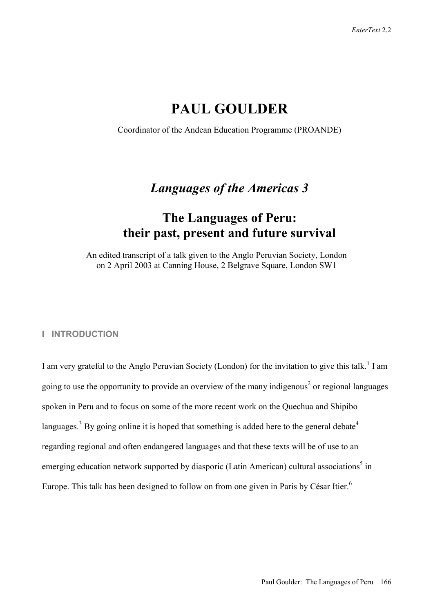# **PAUL GOULDER**

Coordinator of the Andean Education Programme (PROANDE)

# *Languages of the Americas 3*

# **The Languages of Peru: their past, present and future survival**

An edited transcript of a talk given to the Anglo Peruvian Society, London on 2 April 2003 at Canning House, 2 Belgrave Square, London SW1

#### **I INTRODUCTION**

I am very grateful to the Anglo Peruvian Society (London) for the invitation to give this talk.<sup>1</sup> I am going to use the opportunity to provide an overview of the many indigenous<sup>2</sup> or regional languages spoken in Peru and to focus on some of the more recent work on the Quechua and Shipibo languages.<sup>3</sup> By going online it is hoped that something is added here to the general debate<sup>4</sup> regarding regional and often endangered languages and that these texts will be of use to an emerging education network supported by diasporic (Latin American) cultural associations<sup>5</sup> in Europe. This talk has been designed to follow on from one given in Paris by César Itier.<sup>6</sup>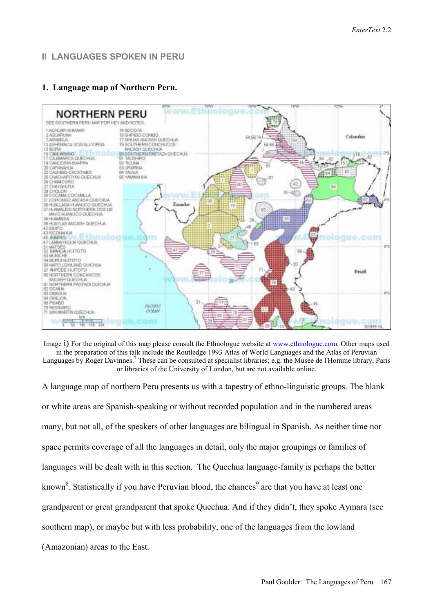# **II LANGUAGES SPOKEN IN PERU**

### **1. Language map of Northern Peru.**



Image i) For the original of this map please consult the Ethnologue website at www.ethnologue.com. Other maps used in the preparation of this talk include the Routledge 1993 Atlas of World Languages and the Atlas of Peruvian Languages by Roger Davinnes.<sup>7</sup> These can be consulted at specialist libraries; e.g. the Musée de l'Homme library, Paris or libraries of the University of London, but are not available online.

A language map of northern Peru presents us with a tapestry of ethno-linguistic groups. The blank or white areas are Spanish-speaking or without recorded population and in the numbered areas many, but not all, of the speakers of other languages are bilingual in Spanish. As neither time nor space permits coverage of all the languages in detail, only the major groupings or families of languages will be dealt with in this section. The Quechua language-family is perhaps the better known<sup>8</sup>. Statistically if you have Peruvian blood, the chances<sup>9</sup> are that you have at least one grandparent or great grandparent that spoke Quechua. And if they didn't, they spoke Aymara (see southern map), or maybe but with less probability, one of the languages from the lowland (Amazonian) areas to the East.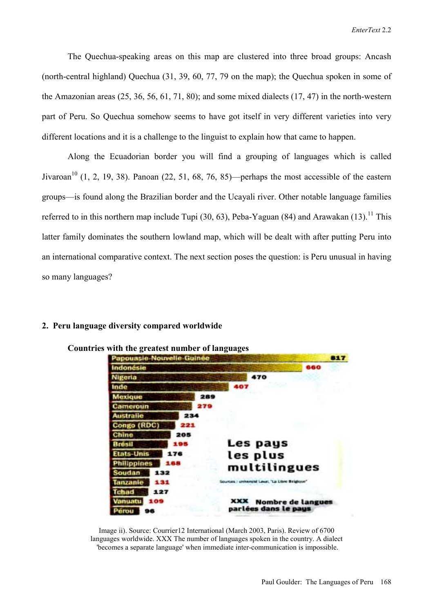The Quechua-speaking areas on this map are clustered into three broad groups: Ancash (north-central highland) Quechua (31, 39, 60, 77, 79 on the map); the Quechua spoken in some of the Amazonian areas (25, 36, 56, 61, 71, 80); and some mixed dialects (17, 47) in the north-western part of Peru. So Quechua somehow seems to have got itself in very different varieties into very different locations and it is a challenge to the linguist to explain how that came to happen.

Along the Ecuadorian border you will find a grouping of languages which is called Jivaroan<sup>10</sup> (1, 2, 19, 38). Panoan (22, 51, 68, 76, 85)—perhaps the most accessible of the eastern groups—is found along the Brazilian border and the Ucayali river. Other notable language families referred to in this northern map include Tupi  $(30, 63)$ , Peba-Yaguan  $(84)$  and Arawakan  $(13)$ .<sup>11</sup> This latter family dominates the southern lowland map, which will be dealt with after putting Peru into an international comparative context. The next section poses the question: is Peru unusual in having so many languages?



#### **2. Peru language diversity compared worldwide**

Image ii). Source: Courrier12 International (March 2003, Paris). Review of 6700 languages worldwide. XXX The number of languages spoken in the country. A dialect 'becomes a separate language' when immediate inter-communication is impossible.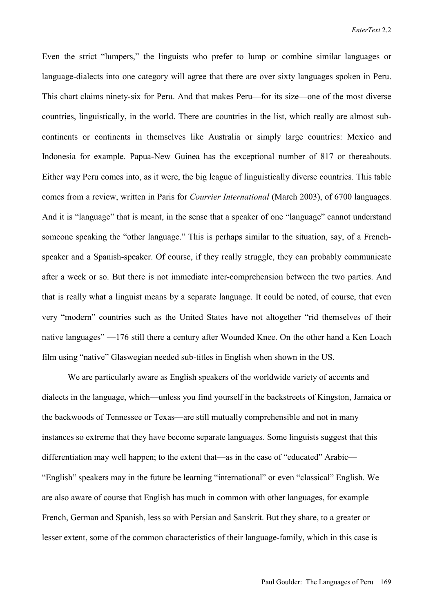Even the strict "lumpers," the linguists who prefer to lump or combine similar languages or language-dialects into one category will agree that there are over sixty languages spoken in Peru. This chart claims ninety-six for Peru. And that makes Peru—for its size—one of the most diverse countries, linguistically, in the world. There are countries in the list, which really are almost subcontinents or continents in themselves like Australia or simply large countries: Mexico and Indonesia for example. Papua-New Guinea has the exceptional number of 817 or thereabouts. Either way Peru comes into, as it were, the big league of linguistically diverse countries. This table comes from a review, written in Paris for *Courrier International* (March 2003), of 6700 languages. And it is "language" that is meant, in the sense that a speaker of one "language" cannot understand someone speaking the "other language." This is perhaps similar to the situation, say, of a Frenchspeaker and a Spanish-speaker. Of course, if they really struggle, they can probably communicate after a week or so. But there is not immediate inter-comprehension between the two parties. And that is really what a linguist means by a separate language. It could be noted, of course, that even very "modern" countries such as the United States have not altogether "rid themselves of their native languages" —176 still there a century after Wounded Knee. On the other hand a Ken Loach film using "native" Glaswegian needed sub-titles in English when shown in the US.

We are particularly aware as English speakers of the worldwide variety of accents and dialects in the language, which—unless you find yourself in the backstreets of Kingston, Jamaica or the backwoods of Tennessee or Texas—are still mutually comprehensible and not in many instances so extreme that they have become separate languages. Some linguists suggest that this differentiation may well happen; to the extent that—as in the case of "educated" Arabic— "English" speakers may in the future be learning "international" or even "classical" English. We are also aware of course that English has much in common with other languages, for example French, German and Spanish, less so with Persian and Sanskrit. But they share, to a greater or lesser extent, some of the common characteristics of their language-family, which in this case is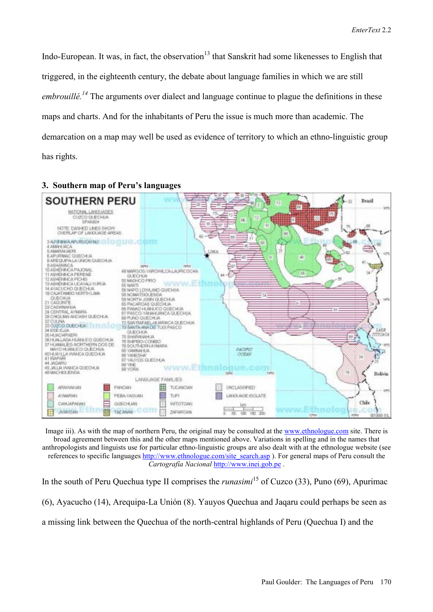Indo-European. It was, in fact, the observation<sup>13</sup> that Sanskrit had some likenesses to English that triggered, in the eighteenth century, the debate about language families in which we are still *embrouillé*.<sup>14</sup> The arguments over dialect and language continue to plague the definitions in these maps and charts. And for the inhabitants of Peru the issue is much more than academic. The demarcation on a map may well be used as evidence of territory to which an ethno-linguistic group has rights.



#### **3. Southern map of Peru's languages**

Image iii). As with the map of northern Peru, the original may be consulted at the www.ethnologue.com site. There is broad agreement between this and the other maps mentioned above. Variations in spelling and in the names that anthropologists and linguists use for particular ethno-linguistic groups are also dealt with at the ethnologue website (see references to specific languages http://www.ethnologue.com/site\_search.asp ). For general maps of Peru consult the *CartografÌa Nacional* http://www.inei.gob.pe .

In the south of Peru Quechua type II comprises the *runasimi*<sup>15</sup> of Cuzco (33), Puno (69), Apurimac  $(6)$ , Ayacucho (14), Arequipa-La Unión (8). Yauyos Quechua and Jaqaru could perhaps be seen as a missing link between the Quechua of the north-central highlands of Peru (Quechua I) and the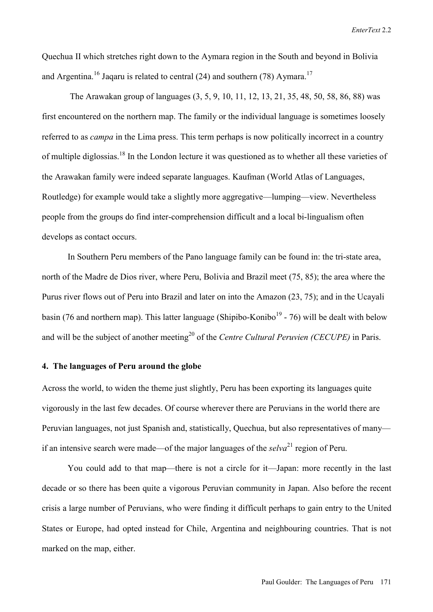Quechua II which stretches right down to the Aymara region in the South and beyond in Bolivia and Argentina.<sup>16</sup> Jaqaru is related to central (24) and southern (78) Aymara.<sup>17</sup>

 The Arawakan group of languages (3, 5, 9, 10, 11, 12, 13, 21, 35, 48, 50, 58, 86, 88) was first encountered on the northern map. The family or the individual language is sometimes loosely referred to as *campa* in the Lima press. This term perhaps is now politically incorrect in a country of multiple diglossias.<sup>18</sup> In the London lecture it was questioned as to whether all these varieties of the Arawakan family were indeed separate languages. Kaufman (World Atlas of Languages, Routledge) for example would take a slightly more aggregative—lumping—view. Nevertheless people from the groups do find inter-comprehension difficult and a local bi-lingualism often develops as contact occurs.

In Southern Peru members of the Pano language family can be found in: the tri-state area, north of the Madre de Dios river, where Peru, Bolivia and Brazil meet (75, 85); the area where the Purus river flows out of Peru into Brazil and later on into the Amazon (23, 75); and in the Ucayali basin (76 and northern map). This latter language (Shipibo-Konibo<sup>19</sup> - 76) will be dealt with below and will be the subject of another meeting<sup>20</sup> of the *Centre Cultural Peruvien (CECUPE)* in Paris.

#### **4. The languages of Peru around the globe**

Across the world, to widen the theme just slightly, Peru has been exporting its languages quite vigorously in the last few decades. Of course wherever there are Peruvians in the world there are Peruvian languages, not just Spanish and, statistically, Quechua, but also representatives of many if an intensive search were made—of the major languages of the  $\frac{selva^{21}}{2}$  region of Peru.

You could add to that map—there is not a circle for it—Japan: more recently in the last decade or so there has been quite a vigorous Peruvian community in Japan. Also before the recent crisis a large number of Peruvians, who were finding it difficult perhaps to gain entry to the United States or Europe, had opted instead for Chile, Argentina and neighbouring countries. That is not marked on the map, either.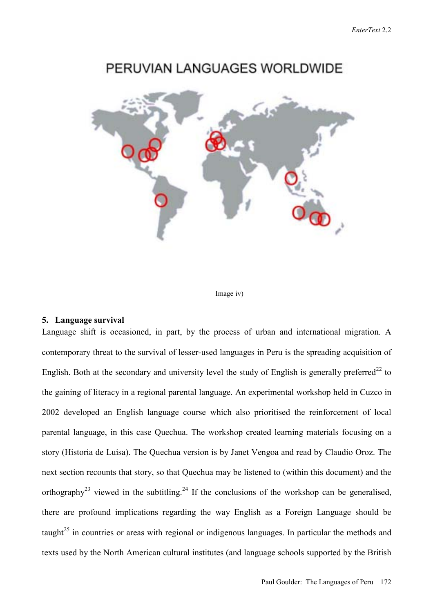# PERUVIAN LANGUAGES WORLDWIDE



Image iv)

### **5. Language survival**

Language shift is occasioned, in part, by the process of urban and international migration. A contemporary threat to the survival of lesser-used languages in Peru is the spreading acquisition of English. Both at the secondary and university level the study of English is generally preferred<sup>22</sup> to the gaining of literacy in a regional parental language. An experimental workshop held in Cuzco in 2002 developed an English language course which also prioritised the reinforcement of local parental language, in this case Quechua. The workshop created learning materials focusing on a story (Historia de Luisa). The Quechua version is by Janet Vengoa and read by Claudio Oroz. The next section recounts that story, so that Quechua may be listened to (within this document) and the orthography<sup>23</sup> viewed in the subtitling.<sup>24</sup> If the conclusions of the workshop can be generalised, there are profound implications regarding the way English as a Foreign Language should be taught<sup>25</sup> in countries or areas with regional or indigenous languages. In particular the methods and texts used by the North American cultural institutes (and language schools supported by the British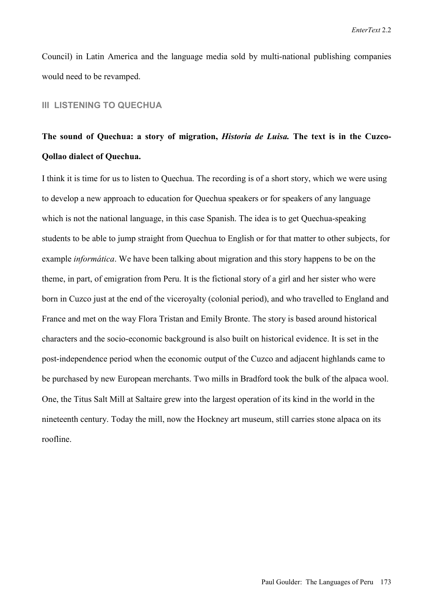Council) in Latin America and the language media sold by multi-national publishing companies would need to be revamped.

### **III LISTENING TO QUECHUA**

# **The sound of Quechua: a story of migration,** *Historia de Luisa.* **The text is in the Cuzco-Qollao dialect of Quechua.**

I think it is time for us to listen to Quechua. The recording is of a short story, which we were using to develop a new approach to education for Quechua speakers or for speakers of any language which is not the national language, in this case Spanish. The idea is to get Quechua-speaking students to be able to jump straight from Quechua to English or for that matter to other subjects, for example *informática*. We have been talking about migration and this story happens to be on the theme, in part, of emigration from Peru. It is the fictional story of a girl and her sister who were born in Cuzco just at the end of the viceroyalty (colonial period), and who travelled to England and France and met on the way Flora Tristan and Emily Bronte. The story is based around historical characters and the socio-economic background is also built on historical evidence. It is set in the post-independence period when the economic output of the Cuzco and adjacent highlands came to be purchased by new European merchants. Two mills in Bradford took the bulk of the alpaca wool. One, the Titus Salt Mill at Saltaire grew into the largest operation of its kind in the world in the nineteenth century. Today the mill, now the Hockney art museum, still carries stone alpaca on its roofline.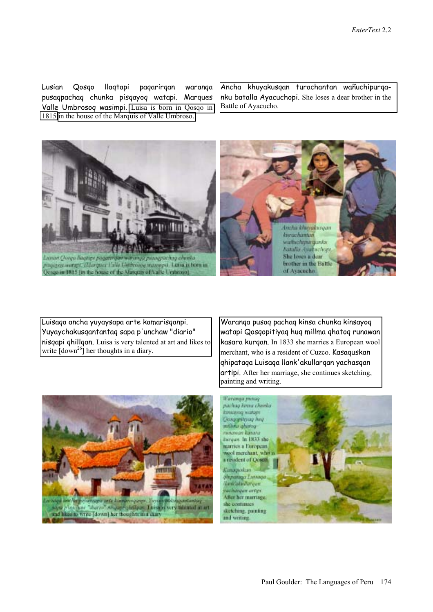Lusian Qosqo llaqtapi paqarirqan waranqa pusaqpachaq chunka pisqayoq watapi. Marques Valle Umbrosoq wasimpi. [Luisa is born in Qosqo in](http://www.brunel.ac.uk/faculty/arts/EnterText/2_2_pdfs/goulder/ATT457137.htm)  [1815](http://www.brunel.ac.uk/faculty/arts/EnterText/2_2_pdfs/goulder/ATT457137.htm) [in the house of the Marquis of Valle Umbroso.](http://www.brunel.ac.uk/faculty/arts/EnterText/2_2_pdfs/goulder/ATT457138.htm)

Ancha khuyakusqan turachantan wañuchipurqanku batalla Ayacuchopi. She loses a dear brother in the Battle of Ayacucho.



Luisaqa ancha yuyaysapa arte kamarisqanpi. [Yuyaychakusqantantaq sapa p'unchaw "diario"](http://www.brunel.ac.uk/faculty/arts/EnterText/2_2_pdfs/goulder/ATT457140.htm)  nisqapi qhillqan. Luisa is very talented at art and likes to write  $[down^{26}]$  her thoughts in a diary.

Waranqa pusaq pachaq kinsa chunka kinsayoq [watapi Qosqopitiyaq huq millma qhatoq runawan](http://www.brunel.ac.uk/faculty/arts/EnterText/2_2_pdfs/goulder/ATT457141.htm)  kasara kurqan. In 1833 she marries a European wool merchant, who is a resident of Cuzco. Kasaquskan qhipataqa Luisaqa llank'akullarqan yachasqan artipi. After her marriage, she continues sketching, painting and writing.



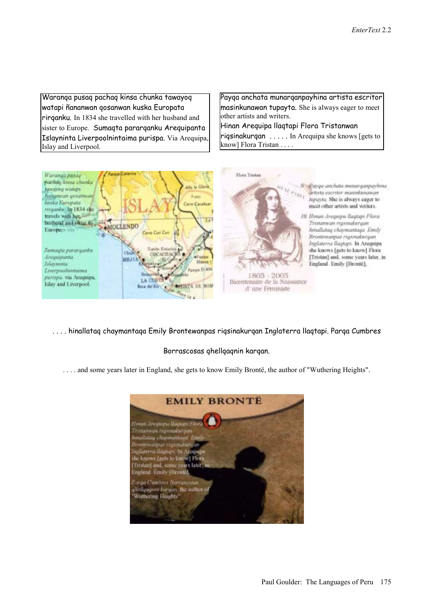[Waranqa pusaq pachaq kinsa chunka tawayoq](http://www.brunel.ac.uk/faculty/arts/EnterText/2_2_pdfs/goulder/ATT457142.htm)  watapi ñananwan qosanwan kuska Europata rirqanku. In 1834 she travelled with her husband and sister to Europe. Sumaqta pararqanku Arequipanta Islayninta Liverpoolnintaima purispa. Via Arequipa, Islay and Liverpool.

[Payqa anchata munarqanpayhina artista escritor](http://www.brunel.ac.uk/faculty/arts/EnterText/2_2_pdfs/goulder/ATT457143.htm)  masinkunawan tupayta. She is always eager to meet other artists and writers.

Hinan Arequipa llaqtapi Flora Tristanwan riqsinakurqan . . . . . In Arequipa she knows [gets to know] Flora Tristan . . . .



. . . . hinallataq chaymantaqa Emily Brontewanpas riqsinakurqan Inglaterra llaqtapi. Parqa Cumbres

#### Borrascosas qhellqaqnin karqan.

... and some years later in England, she gets to know Emily Brontë, the author of "Wuthering Heights".

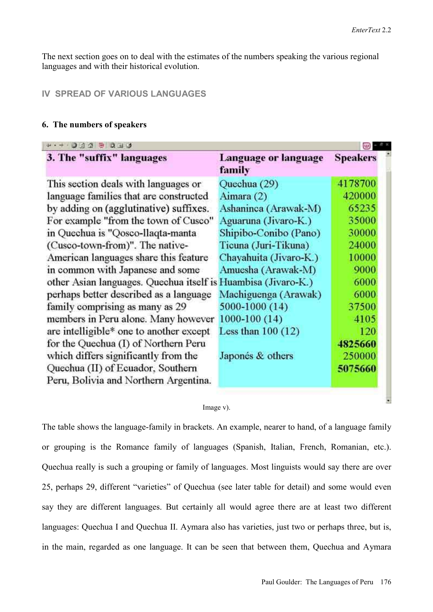U

The next section goes on to deal with the estimates of the numbers speaking the various regional languages and with their historical evolution.

# **IV SPREAD OF VARIOUS LANGUAGES**

### **6. The numbers of speakers**

| 3. The "suffix" languages                                                  | Language or language<br>family | <b>Speakers</b> |
|----------------------------------------------------------------------------|--------------------------------|-----------------|
| This section deals with languages or                                       | Quechua (29)                   | 4178700         |
| language families that are constructed                                     | Aimara (2)                     | 420000          |
| by adding on (agglutinative) suffixes.                                     | Ashaninca (Arawak-M)           | 65235           |
| For example "from the town of Cusco"                                       | Aguaruna (Jivaro-K.)           | 35000           |
| in Quechua is "Qosco-llaqta-manta                                          | Shipibo-Conibo (Pano)          | 30000           |
| (Cusco-town-from)". The native-                                            | Ticuna (Juri-Tikuna)           | 24000           |
| American languages share this feature                                      | Chayahuita (Jivaro-K.)         | 10000           |
| in common with Japanese and some                                           | Amuesha (Arawak-M)             | 9000            |
| other Asian languages. Quechua itself is Huambisa (Jivaro-K.)              |                                | 6000            |
| perhaps better described as a language                                     | Machiguenga (Arawak)           | 6000            |
| family comprising as many as 29                                            | 5000-1000 (14)                 | 37500           |
| members in Peru alone. Many however                                        | 1000-100 (14)                  | 4105            |
| are intelligible* one to another except                                    | Less than $100(12)$            | 120             |
| for the Quechua (I) of Northern Peru                                       |                                | 4825660         |
| which differs significantly from the                                       | Japonés & others               | 250000          |
| Quechua (II) of Ecuador, Southern<br>Peru, Bolivia and Northern Argentina. |                                | 5075660         |

#### Image v).

The table shows the language-family in brackets. An example, nearer to hand, of a language family or grouping is the Romance family of languages (Spanish, Italian, French, Romanian, etc.). Quechua really is such a grouping or family of languages. Most linguists would say there are over 25, perhaps 29, different "varieties" of Quechua (see later table for detail) and some would even say they are different languages. But certainly all would agree there are at least two different languages: Quechua I and Quechua II. Aymara also has varieties, just two or perhaps three, but is, in the main, regarded as one language. It can be seen that between them, Quechua and Aymara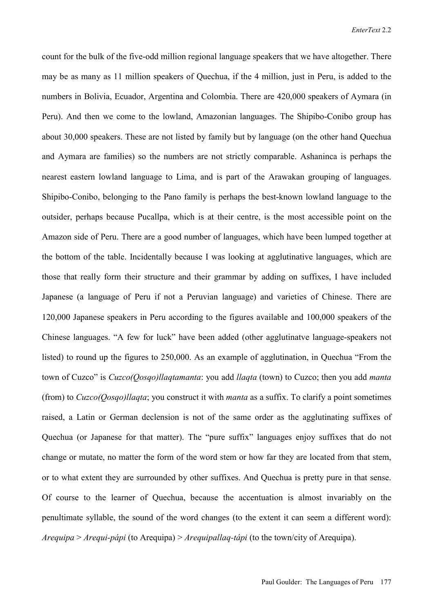count for the bulk of the five-odd million regional language speakers that we have altogether. There may be as many as 11 million speakers of Quechua, if the 4 million, just in Peru, is added to the numbers in Bolivia, Ecuador, Argentina and Colombia. There are 420,000 speakers of Aymara (in Peru). And then we come to the lowland, Amazonian languages. The Shipibo-Conibo group has about 30,000 speakers. These are not listed by family but by language (on the other hand Quechua and Aymara are families) so the numbers are not strictly comparable. Ashaninca is perhaps the nearest eastern lowland language to Lima, and is part of the Arawakan grouping of languages. Shipibo-Conibo, belonging to the Pano family is perhaps the best-known lowland language to the outsider, perhaps because Pucallpa, which is at their centre, is the most accessible point on the Amazon side of Peru. There are a good number of languages, which have been lumped together at the bottom of the table. Incidentally because I was looking at agglutinative languages, which are those that really form their structure and their grammar by adding on suffixes, I have included Japanese (a language of Peru if not a Peruvian language) and varieties of Chinese. There are 120,000 Japanese speakers in Peru according to the figures available and 100,000 speakers of the Chinese languages. "A few for luck" have been added (other agglutinatve language-speakers not listed) to round up the figures to  $250,000$ . As an example of agglutination, in Quechua "From the town of Cuzco<sup>"</sup> is *Cuzco(Qosqo)llaqtamanta*: you add *llaqta* (town) to Cuzco; then you add *manta* (from) to *Cuzco(Qosqo)llaqta*; you construct it with *manta* as a suffix. To clarify a point sometimes raised, a Latin or German declension is not of the same order as the agglutinating suffixes of Quechua (or Japanese for that matter). The "pure suffix" languages enjoy suffixes that do not change or mutate, no matter the form of the word stem or how far they are located from that stem, or to what extent they are surrounded by other suffixes. And Quechua is pretty pure in that sense. Of course to the learner of Quechua, because the accentuation is almost invariably on the penultimate syllable, the sound of the word changes (to the extent it can seem a different word): *Arequipa* > *Arequi-pápi* (to Arequipa) > *Arequipallag-tápi* (to the town/city of Arequipa).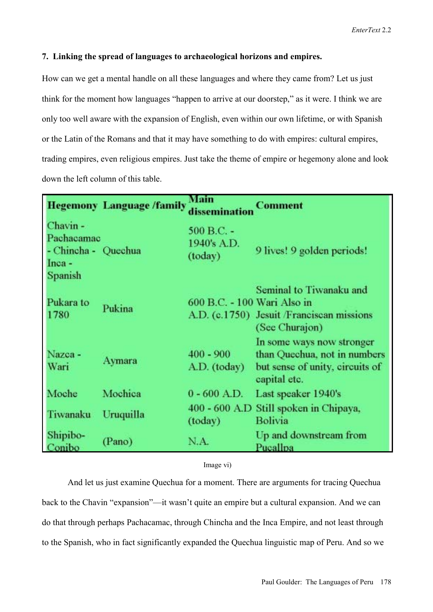### **7. Linking the spread of languages to archaeological horizons and empires.**

How can we get a mental handle on all these languages and where they came from? Let us just think for the moment how languages "happen to arrive at our doorstep," as it were. I think we are only too well aware with the expansion of English, even within our own lifetime, or with Spanish or the Latin of the Romans and that it may have something to do with empires: cultural empires, trading empires, even religious empires. Just take the theme of empire or hegemony alone and look down the left column of this table.

|                                                                      | <b>Hegemony Language /family</b> | Main<br>disseminatio                   | <b>Comment</b>                                                                                               |
|----------------------------------------------------------------------|----------------------------------|----------------------------------------|--------------------------------------------------------------------------------------------------------------|
| Chavin -<br>Pachacamac<br>- Chincha - Quechua<br>$Inca -$<br>Spanish |                                  | $500 B.C. -$<br>1940's A.D.<br>(today) | 9 lives! 9 golden periods!                                                                                   |
| Pukara to<br>1780                                                    | Pukina                           | 600 B.C. - 100 Wari Also in            | Seminal to Tiwanaku and<br>A.D. (c.1750) Jesuit /Franciscan missions<br>(See Churajon)                       |
| Nazca -<br>Wari                                                      | Aymara                           | $400 - 900$<br>A.D. (today)            | In some ways now stronger<br>than Quechua, not in numbers<br>but sense of unity, circuits of<br>capital etc. |
| Moche                                                                | Mochica                          | $0 - 600$ A.D.                         | Last speaker 1940's                                                                                          |
| Tiwanaku                                                             | Uruquilla                        | (today)                                | 400 - 600 A.D Still spoken in Chipaya,<br>Bolivia                                                            |
| Shipibo-<br>Conibo                                                   | (Pano)                           | N.A.                                   | Up and downstream from<br>Pucallpa                                                                           |

Image vi)

And let us just examine Quechua for a moment. There are arguments for tracing Quechua back to the Chavin "expansion"—it wasn't quite an empire but a cultural expansion. And we can do that through perhaps Pachacamac, through Chincha and the Inca Empire, and not least through to the Spanish, who in fact significantly expanded the Quechua linguistic map of Peru. And so we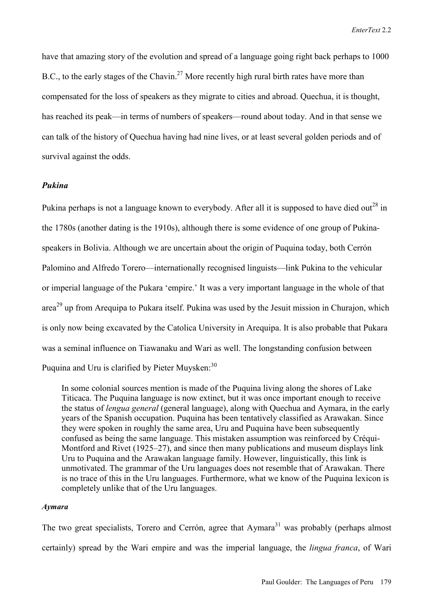have that amazing story of the evolution and spread of a language going right back perhaps to 1000 B.C., to the early stages of the Chavin.<sup>27</sup> More recently high rural birth rates have more than compensated for the loss of speakers as they migrate to cities and abroad. Quechua, it is thought, has reached its peak—in terms of numbers of speakers—round about today. And in that sense we can talk of the history of Quechua having had nine lives, or at least several golden periods and of survival against the odds.

#### *Pukina*

Pukina perhaps is not a language known to everybody. After all it is supposed to have died out<sup>28</sup> in the 1780s (another dating is the 1910s), although there is some evidence of one group of Pukinaspeakers in Bolivia. Although we are uncertain about the origin of Puquina today, both Cerrón Palomino and Alfredo Torero—internationally recognised linguists—link Pukina to the vehicular or imperial language of the Pukara 'empire.' It was a very important language in the whole of that area<sup>29</sup> up from Arequipa to Pukara itself. Pukina was used by the Jesuit mission in Churajon, which is only now being excavated by the Catolica University in Arequipa. It is also probable that Pukara was a seminal influence on Tiawanaku and Wari as well. The longstanding confusion between Puquina and Uru is clarified by Pieter Muysken:<sup>30</sup>

In some colonial sources mention is made of the Puquina living along the shores of Lake Titicaca. The Puquina language is now extinct, but it was once important enough to receive the status of *lengua general* (general language), along with Quechua and Aymara, in the early years of the Spanish occupation. Puquina has been tentatively classified as Arawakan. Since they were spoken in roughly the same area, Uru and Puquina have been subsequently confused as being the same language. This mistaken assumption was reinforced by Créqui-Montford and Rivet (1925 $-27$ ), and since then many publications and museum displays link Uru to Puquina and the Arawakan language family. However, linguistically, this link is unmotivated. The grammar of the Uru languages does not resemble that of Arawakan. There is no trace of this in the Uru languages. Furthermore, what we know of the Puquina lexicon is completely unlike that of the Uru languages.

### *Aymara*

The two great specialists, Torero and Cerrón, agree that Aymara<sup>31</sup> was probably (perhaps almost certainly) spread by the Wari empire and was the imperial language, the *lingua franca*, of Wari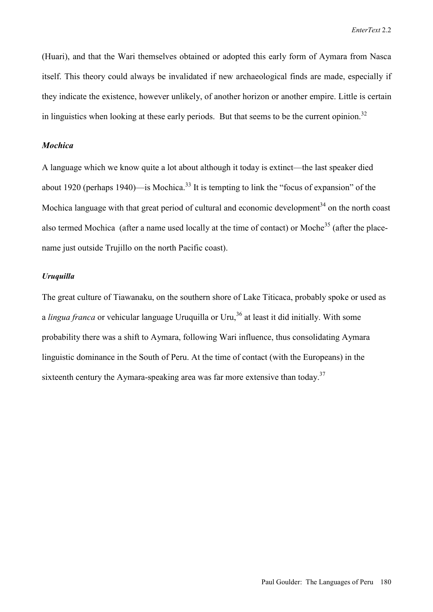(Huari), and that the Wari themselves obtained or adopted this early form of Aymara from Nasca itself. This theory could always be invalidated if new archaeological finds are made, especially if they indicate the existence, however unlikely, of another horizon or another empire. Little is certain in linguistics when looking at these early periods. But that seems to be the current opinion.<sup>32</sup>

### *Mochica*

A language which we know quite a lot about although it today is extinct—the last speaker died about 1920 (perhaps 1940)—is Mochica.<sup>33</sup> It is tempting to link the "focus of expansion" of the Mochica language with that great period of cultural and economic development<sup>34</sup> on the north coast also termed Mochica (after a name used locally at the time of contact) or Moche<sup>35</sup> (after the placename just outside Trujillo on the north Pacific coast).

#### *Uruquilla*

The great culture of Tiawanaku, on the southern shore of Lake Titicaca, probably spoke or used as a *lingua franca* or vehicular language Uruquilla or Uru,<sup>36</sup> at least it did initially. With some probability there was a shift to Aymara, following Wari influence, thus consolidating Aymara linguistic dominance in the South of Peru. At the time of contact (with the Europeans) in the sixteenth century the Aymara-speaking area was far more extensive than today.<sup>37</sup>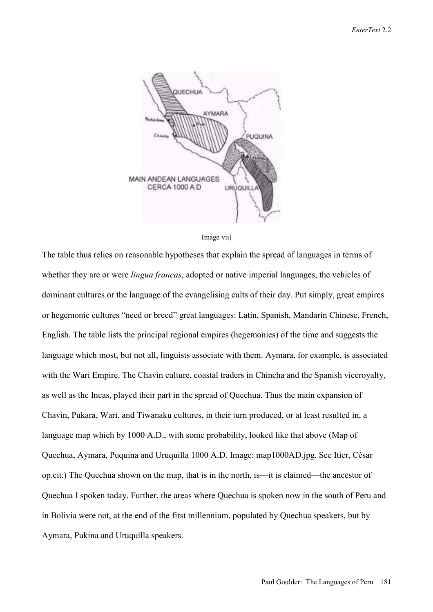



The table thus relies on reasonable hypotheses that explain the spread of languages in terms of whether they are or were *lingua francas*, adopted or native imperial languages, the vehicles of dominant cultures or the language of the evangelising cults of their day. Put simply, great empires or hegemonic cultures "need or breed" great languages: Latin, Spanish, Mandarin Chinese, French, English. The table lists the principal regional empires (hegemonies) of the time and suggests the language which most, but not all, linguists associate with them. Aymara, for example, is associated with the Wari Empire. The Chavin culture, coastal traders in Chincha and the Spanish viceroyalty, as well as the Incas, played their part in the spread of Quechua. Thus the main expansion of Chavin, Pukara, Wari, and Tiwanaku cultures, in their turn produced, or at least resulted in, a language map which by 1000 A.D., with some probability, looked like that above (Map of Quechua, Aymara, Puquina and Uruquilla 1000 A.D. Image: map1000AD.jpg. See Itier, César op.cit.) The Quechua shown on the map, that is in the north, is—it is claimed—the ancestor of Quechua I spoken today. Further, the areas where Quechua is spoken now in the south of Peru and in Bolivia were not, at the end of the first millennium, populated by Quechua speakers, but by Aymara, Pukina and Uruquilla speakers.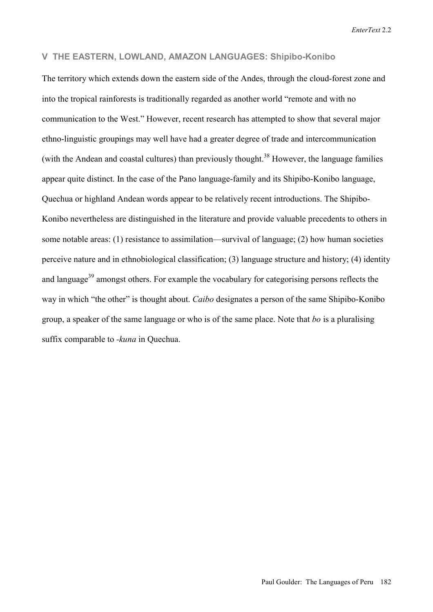*EnterText* 2.2

## **V THE EASTERN, LOWLAND, AMAZON LANGUAGES: Shipibo-Konibo**

The territory which extends down the eastern side of the Andes, through the cloud-forest zone and into the tropical rainforests is traditionally regarded as another world "remote and with no communication to the West." However, recent research has attempted to show that several major ethno-linguistic groupings may well have had a greater degree of trade and intercommunication (with the Andean and coastal cultures) than previously thought.<sup>38</sup> However, the language families appear quite distinct. In the case of the Pano language-family and its Shipibo-Konibo language, Quechua or highland Andean words appear to be relatively recent introductions. The Shipibo-Konibo nevertheless are distinguished in the literature and provide valuable precedents to others in some notable areas: (1) resistance to assimilation—survival of language; (2) how human societies perceive nature and in ethnobiological classification; (3) language structure and history; (4) identity and language<sup>39</sup> amongst others. For example the vocabulary for categorising persons reflects the way in which "the other" is thought about. *Caibo* designates a person of the same Shipibo-Konibo group, a speaker of the same language or who is of the same place. Note that *bo* is a pluralising suffix comparable to *-kuna* in Quechua.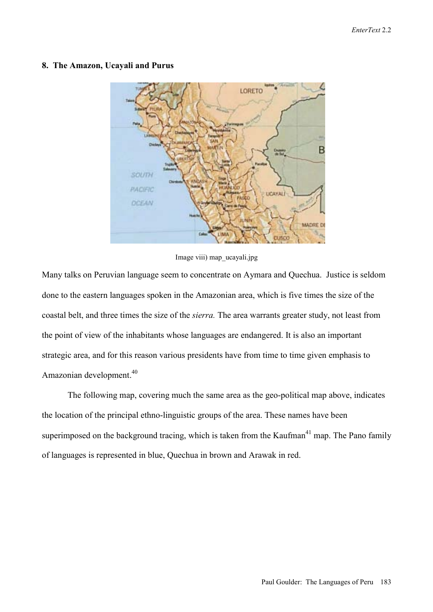### **8. The Amazon, Ucayali and Purus**



Image viii) map\_ucayali.jpg

Many talks on Peruvian language seem to concentrate on Aymara and Quechua. Justice is seldom done to the eastern languages spoken in the Amazonian area, which is five times the size of the coastal belt, and three times the size of the *sierra.* The area warrants greater study, not least from the point of view of the inhabitants whose languages are endangered. It is also an important strategic area, and for this reason various presidents have from time to time given emphasis to Amazonian development.<sup>40</sup>

The following map, covering much the same area as the geo-political map above, indicates the location of the principal ethno-linguistic groups of the area. These names have been superimposed on the background tracing, which is taken from the Kaufman<sup>41</sup> map. The Pano family of languages is represented in blue, Quechua in brown and Arawak in red.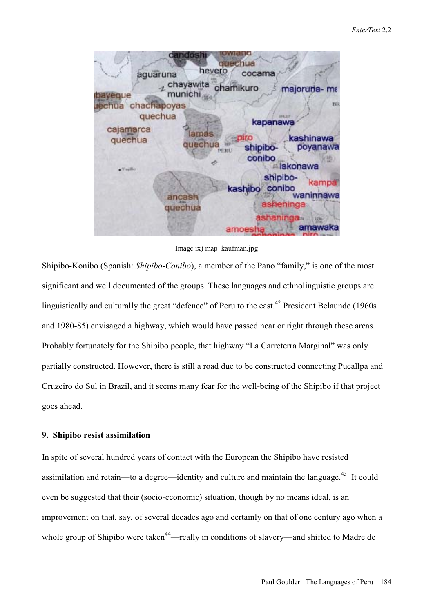

Image ix) map\_kaufman.jpg

Shipibo-Konibo (Spanish: *Shipibo-Conibo*), a member of the Pano "family," is one of the most significant and well documented of the groups. These languages and ethnolinguistic groups are linguistically and culturally the great "defence" of Peru to the east.<sup>42</sup> President Belaunde (1960s) and 1980-85) envisaged a highway, which would have passed near or right through these areas. Probably fortunately for the Shipibo people, that highway "La Carreterra Marginal" was only partially constructed. However, there is still a road due to be constructed connecting Pucallpa and Cruzeiro do Sul in Brazil, and it seems many fear for the well-being of the Shipibo if that project goes ahead.

## **9. Shipibo resist assimilation**

In spite of several hundred years of contact with the European the Shipibo have resisted assimilation and retain—to a degree—identity and culture and maintain the language.<sup>43</sup> It could even be suggested that their (socio-economic) situation, though by no means ideal, is an improvement on that, say, of several decades ago and certainly on that of one century ago when a whole group of Shipibo were taken<sup>44</sup>—really in conditions of slavery—and shifted to Madre de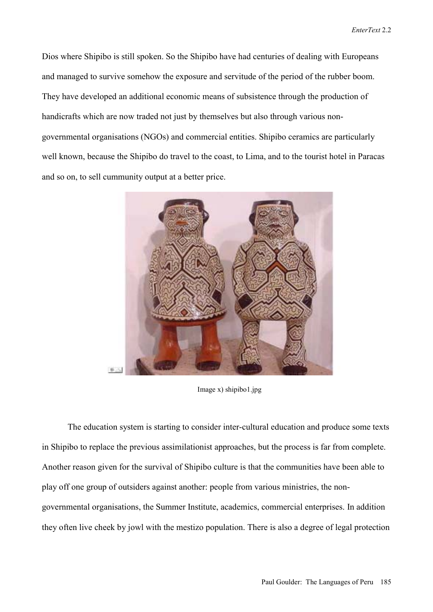Dios where Shipibo is still spoken. So the Shipibo have had centuries of dealing with Europeans and managed to survive somehow the exposure and servitude of the period of the rubber boom. They have developed an additional economic means of subsistence through the production of handicrafts which are now traded not just by themselves but also through various nongovernmental organisations (NGOs) and commercial entities. Shipibo ceramics are particularly well known, because the Shipibo do travel to the coast, to Lima, and to the tourist hotel in Paracas and so on, to sell cummunity output at a better price.



Image x) shipibo1.jpg

The education system is starting to consider inter-cultural education and produce some texts in Shipibo to replace the previous assimilationist approaches, but the process is far from complete. Another reason given for the survival of Shipibo culture is that the communities have been able to play off one group of outsiders against another: people from various ministries, the nongovernmental organisations, the Summer Institute, academics, commercial enterprises. In addition they often live cheek by jowl with the mestizo population. There is also a degree of legal protection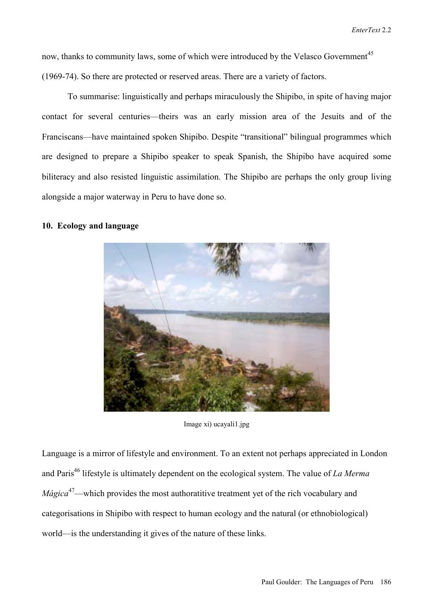now, thanks to community laws, some of which were introduced by the Velasco Government<sup>45</sup> (1969-74). So there are protected or reserved areas. There are a variety of factors.

To summarise: linguistically and perhaps miraculously the Shipibo, in spite of having major contact for several centuries—theirs was an early mission area of the Jesuits and of the Franciscans—have maintained spoken Shipibo. Despite "transitional" bilingual programmes which are designed to prepare a Shipibo speaker to speak Spanish, the Shipibo have acquired some biliteracy and also resisted linguistic assimilation. The Shipibo are perhaps the only group living alongside a major waterway in Peru to have done so.

### **10. Ecology and language**



Image xi) ucayali1.jpg

Language is a mirror of lifestyle and environment. To an extent not perhaps appreciated in London and Paris<sup>46</sup> lifestyle is ultimately dependent on the ecological system. The value of *La Merma Mágica*<sup>47</sup>—which provides the most authoratitive treatment yet of the rich vocabulary and categorisations in Shipibo with respect to human ecology and the natural (or ethnobiological) world—is the understanding it gives of the nature of these links.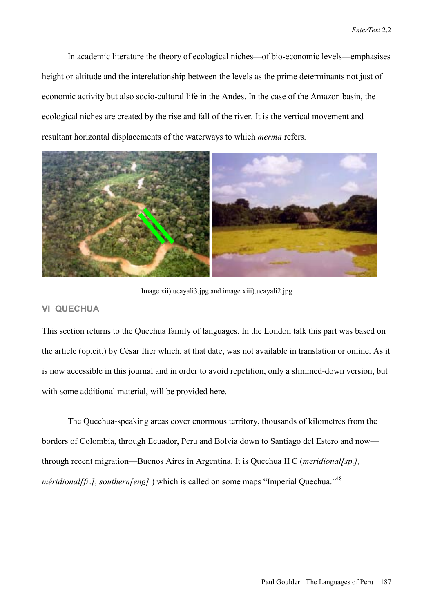In academic literature the theory of ecological niches—of bio-economic levels—emphasises height or altitude and the interelationship between the levels as the prime determinants not just of economic activity but also socio-cultural life in the Andes. In the case of the Amazon basin, the ecological niches are created by the rise and fall of the river. It is the vertical movement and resultant horizontal displacements of the waterways to which *merma* refers.



Image xii) ucayali3.jpg and image xiii).ucayali2.jpg

## **VI QUECHUA**

This section returns to the Quechua family of languages. In the London talk this part was based on the article (op.cit.) by César Itier which, at that date, was not available in translation or online. As it is now accessible in this journal and in order to avoid repetition, only a slimmed-down version, but with some additional material, will be provided here.

The Quechua-speaking areas cover enormous territory, thousands of kilometres from the borders of Colombia, through Ecuador, Peru and Bolvia down to Santiago del Estero and now through recent migration—Buenos Aires in Argentina. It is Quechua II C (*meridional*[sp.], *méridional[fr.], southern[eng]* ) which is called on some maps "Imperial Quechua."<sup>48</sup>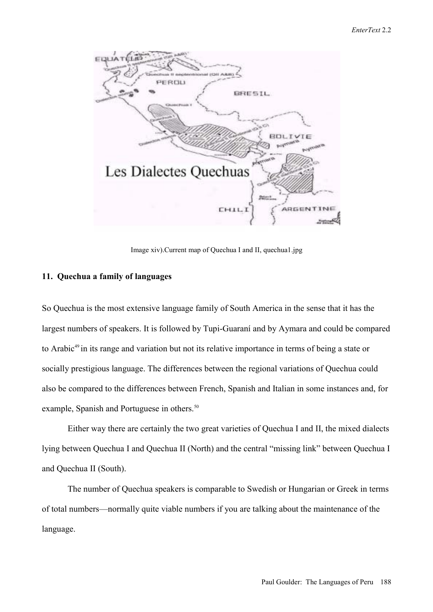

Image xiv).Current map of Quechua I and II, quechua1.jpg

## **11. Quechua a family of languages**

So Quechua is the most extensive language family of South America in the sense that it has the largest numbers of speakers. It is followed by Tupi-Guaraní and by Aymara and could be compared to Arabic<sup>49</sup> in its range and variation but not its relative importance in terms of being a state or socially prestigious language. The differences between the regional variations of Quechua could also be compared to the differences between French, Spanish and Italian in some instances and, for example, Spanish and Portuguese in others.<sup>50</sup>

Either way there are certainly the two great varieties of Quechua I and II, the mixed dialects lying between Quechua I and Quechua II (North) and the central "missing link" between Quechua I and Quechua II (South).

The number of Quechua speakers is comparable to Swedish or Hungarian or Greek in terms of total numbers—normally quite viable numbers if you are talking about the maintenance of the language.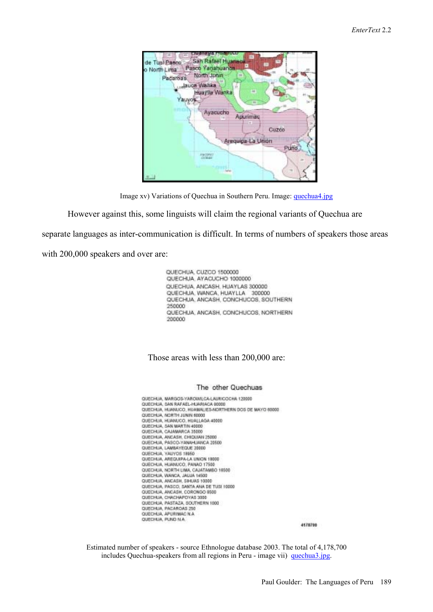



However against this, some linguists will claim the regional variants of Quechua are

separate languages as inter-communication is difficult. In terms of numbers of speakers those areas

with 200,000 speakers and over are:

QUECHUA, CUZCO 1500000 QUECHUA, AYACUCHO 1000000 QUECHUA, ANCASH, HUAYLAS 300000 QUECHUA, WANCA, HUAYLLA 300000 QUECHUA, ANCASH, CONCHUCOS, SOUTHERN 250000 QUECHUA, ANCASH, CONCHUCOS, NORTHERN 200000

#### Those areas with less than 200,000 are:

#### The other Quechuas

QUECHUA, MARGOS-YAROWILCA-LAURICOCHA 120000 QUECHUA, SAN RAFAEL-HUARIACA 80000 QUECHUA, HUANUCO, HUAMAUES-NORTHERN DOS DE MAYO 60000 QUECHUA, NORTH JUNIN 60000<br>QUECHUA, HUANUCO, HUALLAGA 40000 QUECHUA, SAN MARTIN 40000 QUECHUA, CAJAMARCA 35000 QUECHUA, ANCASH, CHICULAN 25000 QUECHUA, PASCO-YANAHUANCA 20500 QUECHUA, LAMBAYEQUE 20000 QUECHUA, YAUYOS 18850<br>QUECHUA, AREQUIPA-LA UNION 18000 QUECHUA, HUANUCO, PANAO 17500 QUECHUA, NORTH LIMA, CAJATAMBO 16999 QUECHUA, ANCASH, SIHUAS 10000 QUECHUA, PASCO, SANTA ANA DE TUSI 10000<br>QUECHUA, ANCASH, CORONSO 8500 QUECHUA, CHACHAPOYAS 3000 QUECHUA, PASTAZA, SOUTHERN 1000 QUECHUA, PACAROAS 250 QUECHUA, APURINAC N.A. QUECHUA, PUNO N.A.

4178700

Estimated number of speakers - source Ethnologue database 2003. The total of 4,178,700 includes Quechua-speakers from all regions in Peru - image vii) quechua3.jpg.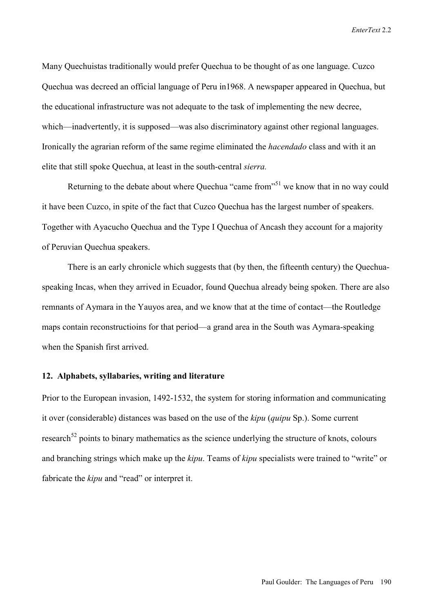*EnterText* 2.2

Many Quechuistas traditionally would prefer Quechua to be thought of as one language. Cuzco Quechua was decreed an official language of Peru in1968. A newspaper appeared in Quechua, but the educational infrastructure was not adequate to the task of implementing the new decree, which—inadvertently, it is supposed—was also discriminatory against other regional languages. Ironically the agrarian reform of the same regime eliminated the *hacendado* class and with it an elite that still spoke Quechua, at least in the south-central *sierra.*

Returning to the debate about where Quechua "came from"<sup>51</sup> we know that in no way could it have been Cuzco, in spite of the fact that Cuzco Quechua has the largest number of speakers. Together with Ayacucho Quechua and the Type I Quechua of Ancash they account for a majority of Peruvian Quechua speakers.

There is an early chronicle which suggests that (by then, the fifteenth century) the Quechuaspeaking Incas, when they arrived in Ecuador, found Quechua already being spoken. There are also remnants of Aymara in the Yauyos area, and we know that at the time of contact—the Routledge maps contain reconstructioins for that period—a grand area in the South was Aymara-speaking when the Spanish first arrived.

### **12. Alphabets, syllabaries, writing and literature**

Prior to the European invasion, 1492-1532, the system for storing information and communicating it over (considerable) distances was based on the use of the *kipu* (*quipu* Sp.). Some current research<sup>52</sup> points to binary mathematics as the science underlying the structure of knots, colours and branching strings which make up the *kipu*. Teams of *kipu* specialists were trained to "write" or fabricate the *kipu* and "read" or interpret it.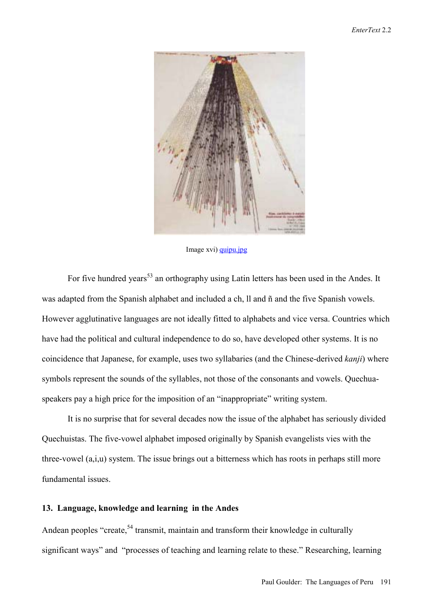

Image xvi) quipu.jpg

For five hundred years<sup>53</sup> an orthography using Latin letters has been used in the Andes. It was adapted from the Spanish alphabet and included a ch, ll and  $\tilde{n}$  and the five Spanish vowels. However agglutinative languages are not ideally fitted to alphabets and vice versa. Countries which have had the political and cultural independence to do so, have developed other systems. It is no coincidence that Japanese, for example, uses two syllabaries (and the Chinese-derived *kanji*) where symbols represent the sounds of the syllables, not those of the consonants and vowels. Quechuaspeakers pay a high price for the imposition of an "inappropriate" writing system.

It is no surprise that for several decades now the issue of the alphabet has seriously divided Quechuistas. The five-vowel alphabet imposed originally by Spanish evangelists vies with the three-vowel (a,i,u) system. The issue brings out a bitterness which has roots in perhaps still more fundamental issues.

#### **13. Language, knowledge and learning in the Andes**

Andean peoples "create,  $54$  transmit, maintain and transform their knowledge in culturally significant ways" and "processes of teaching and learning relate to these." Researching, learning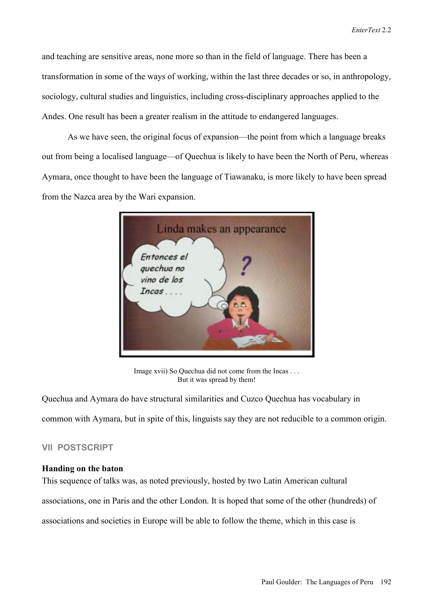and teaching are sensitive areas, none more so than in the field of language. There has been a transformation in some of the ways of working, within the last three decades or so, in anthropology, sociology, cultural studies and linguistics, including cross-disciplinary approaches applied to the Andes. One result has been a greater realism in the attitude to endangered languages.

As we have seen, the original focus of expansion—the point from which a language breaks out from being a localised language—of Quechua is likely to have been the North of Peru, whereas Aymara, once thought to have been the language of Tiawanaku, is more likely to have been spread from the Nazca area by the Wari expansion.



Image xvii) So Quechua did not come from the Incas . . . But it was spread by them!

Quechua and Aymara do have structural similarities and Cuzco Quechua has vocabulary in common with Aymara, but in spite of this, linguists say they are not reducible to a common origin.

# **VII POSTSCRIPT**

### **Handing on the baton**

This sequence of talks was, as noted previously, hosted by two Latin American cultural associations, one in Paris and the other London. It is hoped that some of the other (hundreds) of associations and societies in Europe will be able to follow the theme, which in this case is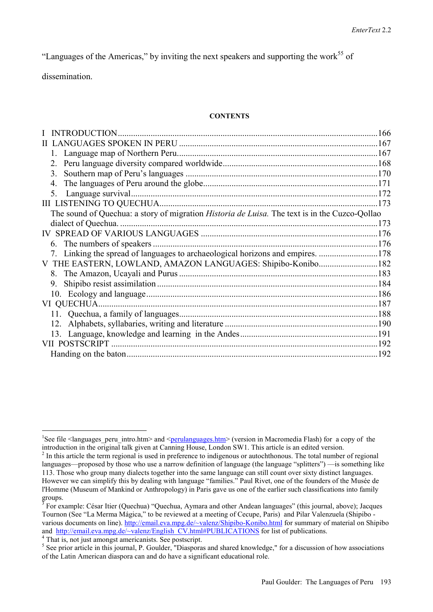"Languages of the Americas," by inviting the next speakers and supporting the work $^{55}$  of

dissemination.

 $\overline{a}$ 

#### **CONTENTS**

| <b>INTRODUCTION</b>                                                                                   | 166 |
|-------------------------------------------------------------------------------------------------------|-----|
|                                                                                                       |     |
|                                                                                                       |     |
|                                                                                                       |     |
| 3.                                                                                                    |     |
|                                                                                                       |     |
|                                                                                                       |     |
|                                                                                                       | 173 |
| The sound of Quechua: a story of migration <i>Historia de Luisa</i> . The text is in the Cuzco-Qollao |     |
| dialect of Quechua.                                                                                   |     |
|                                                                                                       |     |
|                                                                                                       |     |
| 7. Linking the spread of languages to archaeological horizons and empires. 178                        |     |
|                                                                                                       |     |
|                                                                                                       |     |
|                                                                                                       |     |
|                                                                                                       |     |
| VI QUECHUA                                                                                            |     |
|                                                                                                       |     |
|                                                                                                       |     |
|                                                                                                       |     |
|                                                                                                       |     |
|                                                                                                       |     |

<sup>&</sup>lt;sup>1</sup>See file <languages peru intro.htm> and <perulanguages.htm> (version in Macromedia Flash) for a copy of the introduction in the original talk given at Canning House, London SW1. This article is an edited version.

 $2<sup>2</sup>$  In this article the term regional is used in preference to indigenous or autochthonous. The total number of regional languages—proposed by those who use a narrow definition of language (the language "splitters") — is something like 113. Those who group many dialects together into the same language can still count over sixty distinct languages. However we can simplify this by dealing with language "families." Paul Rivet, one of the founders of the Musée de l'Homme (Museum of Mankind or Anthropology) in Paris gave us one of the earlier such classifications into family groups.<br> $\frac{3}{2}$  Eqr. av.

For example: César Itier (Quechua) "Quechua, Aymara and other Andean languages" (this journal, above); Jacques Tournon (See "La Merma Mágica," to be reviewed at a meeting of Cecupe, Paris) and Pilar Valenzuela (Shipibo various documents on line). http://email.eva.mpg.de/~valenz/Shipibo-Konibo.html for summary of material on Shipibo and http://email.eva.mpg.de/~valenz/English\_CV.html#PUBLICATIONS for list of publications.

<sup>&</sup>lt;sup>4</sup> That is, not just amongst americanists. See postscript.

<sup>&</sup>lt;sup>5</sup> See prior article in this journal, P. Goulder, "Diasporas and shared knowledge," for a discussion of how associations of the Latin American diaspora can and do have a significant educational role.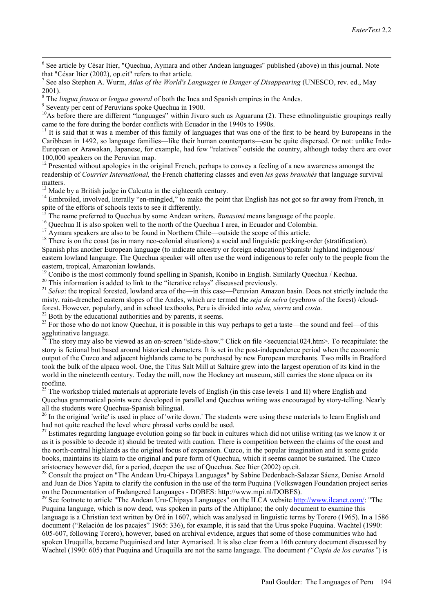$\frac{1}{6}$  $6$  See article by César Itier, "Quechua, Aymara and other Andean languages" published (above) in this journal. Note that "César Itier (2002), op.cit" refers to that article.

7 See also Stephen A. Wurm, *Atlas of the World's Languages in Danger of Disappearing* (UNESCO, rev. ed., May 2001).

<sup>8</sup> The *lingua franca* or *lengua general* of both the Inca and Spanish empires in the Andes.

<sup>9</sup> Seventy per cent of Peruvians spoke Quechua in 1900.

 $10$ As before there are different "languages" within Jivaro such as Aguaruna (2). These ethnolinguistic groupings really came to the fore during the border conflicts with Ecuador in the 1940s to 1990s.

 $11$  It is said that it was a member of this family of languages that was one of the first to be heard by Europeans in the Caribbean in 1492, so language families—like their human counterparts—can be quite dispersed. Or not: unlike Indo-European or Arawakan, Japanese, for example, had few "relatives" outside the country, although today there are over 100,000 speakers on the Peruvian map.

<sup>12</sup> Presented without apologies in the original French, perhaps to convey a feeling of a new awareness amongst the readership of *Courrier International*, the French chattering classes and even *les gens branchés* that language survival matters.

 $13$  Made by a British judge in Calcutta in the eighteenth century.

<sup>14</sup> Embroiled, involved, literally "en-mingled," to make the point that English has not got so far away from French, in spite of the efforts of schools texts to see it differently.<br><sup>15</sup> The name preferred to Ouechua by some Andean writers. *Runasimi* means language of the people.

<sup>16</sup> Quechua II is also spoken well to the north of the Quechua I area, in Ecuador and Colombia.

 $17$  Aymara speakers are also to be found in Northern Chile—outside the scope of this article.

 $18$  There is on the coast (as in many neo-colonial situations) a social and linguistic pecking-order (stratification).

Spanish plus another European language (to indicate ancestry or foreign education)/Spanish/ highland indigenous/

eastern lowland language. The Quechua speaker will often use the word indigenous to refer only to the people from the eastern, tropical, Amazonian lowlands.

<sup>19</sup> Conibo is the most commonly found spelling in Spanish, Konibo in English. Similarly Quechua / Kechua.

 $20$  This information is added to link to the "iterative relays" discussed previously.

<sup>21</sup> *Selva*: the tropical forested, lowland area of the—in this case—Peruvian Amazon basin. Does not strictly include the misty, rain-drenched eastern slopes of the Andes, which are termed the *seja de selva* (eyebrow of the forest) /cloudforest. However, popularly, and in school textbooks, Peru is divided into *selva, sierra* and *costa.* 22 Both by the educational authorities and by parents, it seems.

<sup>23</sup> For those who do not know Quechua, it is possible in this way perhaps to get a taste—the sound and feel—of this agglutinative language.

<sup>24</sup> The story may also be viewed as an on-screen "slide-show." Click on file <secuencia1024.htm>. To recapitulate: the story is fictional but based around historical characters. It is set in the post-independence period when the economic output of the Cuzco and adjacent highlands came to be purchased by new European merchants. Two mills in Bradford took the bulk of the alpaca wool. One, the Titus Salt Mill at Saltaire grew into the largest operation of its kind in the world in the nineteenth century. Today the mill, now the Hockney art museum, still carries the stone alpaca on its roofline.

<sup>25</sup> The workshop trialed materials at approriate levels of English (in this case levels 1 and II) where English and Quechua grammatical points were developed in parallel and Quechua writing was encouraged by story-telling. Nearly all the students were Quechua-Spanish bilingual.

 $^{26}$  In the original 'write' is used in place of 'write down.' The students were using these materials to learn English and had not quite reached the level where phrasal verbs could be used.

 $27$  Estimates regarding language evolution going so far back in cultures which did not utilise writing (as we know it or as it is possible to decode it) should be treated with caution. There is competition between the claims of the coast and the north-central highlands as the original focus of expansion. Cuzco, in the popular imagination and in some guide books, maintains its claim to the original and pure form of Quechua, which it seems cannot be sustained. The Cuzco aristocracy however did, for a period, deepen the use of Quechua. See Itier (2002) op.cit.

<sup>28</sup> Consult the project on "The Andean Uru-Chipaya Languages" by Sabine Dedenbach-Salazar Sáenz, Denise Arnold and Juan de Dios Yapita to clarify the confusion in the use of the term Puquina (Volkswagen Foundation project series on the Documentation of Endangered Languages - DOBES: http://www.mpi.nl/DOBES).

<sup>29</sup> See footnote to article "The Andean Uru-Chipaya Languages" on the ILCA website http://www.ilcanet.com/: "The Puquina language, which is now dead, was spoken in parts of the Altiplano; the only document to examine this language is a Christian text written by Oré in 1607, which was analysed in linguistic terms by Torero (1965). In a 1586 document ("Relación de los pacajes" 1965: 336), for example, it is said that the Urus spoke Puquina. Wachtel (1990: 605-607, following Torero), however, based on archival evidence, argues that some of those communities who had spoken Uruquilla, became Puquinised and later Aymarised. It is also clear from a 16th century document discussed by Wachtel (1990: 605) that Puquina and Uruquilla are not the same language. The document *("Copia de los curatos"*) is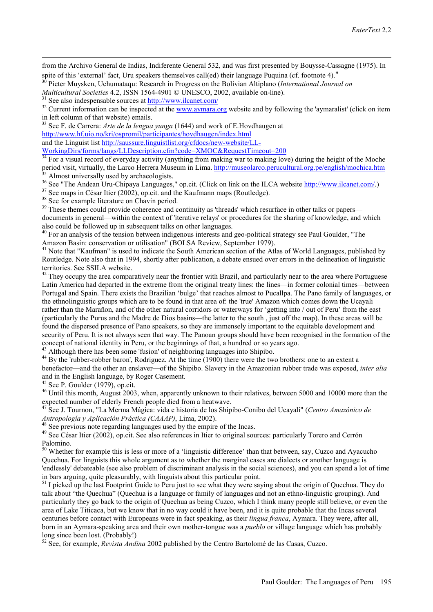from the Archivo General de Indias, Indiferente General 532, and was first presented by Bouysse-Cassagne (1975). In spite of this 'external' fact, Uru speakers themselves call(ed) their language Puquina (cf. footnote 4)."<br><sup>30</sup> Pieter Muysken, Uchumataqu: Research in Progress on the Bolivian Altiplano (*International Journal on* 

*Multicultural Societies* 4.2, ISSN 1564-4901 © UNESCO, 2002, available on-line).<br><sup>31</sup> See also indespensable sources at  $\frac{http://www.ilcanet.com/}{http://www.ilcanet.com/}$ <br><sup>32</sup> Current information can be inspected at the www.aymara.org website an

 $\overline{a}$ 

in left column of that website) emails.

33 See F. de Carrera: *Arte de la lengua yunga* (1644) and work of E.Hovdhaugen at

http://www.hf.uio.no/kri/ospromil/participantes/hovdhaugen/index.html

and the Linguist list http://saussure.linguistlist.org/cfdocs/new-website/LL-

WorkingDirs/forms/langs/LLDescription.cfm?code=XMOC&RequestTimeout=200

<sup>34</sup> For a visual record of everyday activity (anything from making war to making love) during the height of the Moche period visit, virtually, the Larco Herrera Museum in Lima. http://museolarco.perucultural.org.pe/english/mochica.htm 35 Almost universally used by archaeologists.

<sup>36</sup> See "The Andean Uru-Chipaya Languages," op.cit. (Click on link on the ILCA website  $\frac{http://www.ilcanet.com/}{http://www.ilcanet.com/})$ <br><sup>37</sup> See maps in César Itier (2002), op.cit. and the Kaufmann maps (Routledge).

<sup>38</sup> See for example literature on Chavin period.

<sup>39</sup> These themes could provide coherence and continuity as 'threads' which resurface in other talks or papers documents in general—within the context of 'iterative relays' or procedures for the sharing of knowledge, and which also could be followed up in subsequent talks on other languages.

<sup>40</sup> For an analysis of the tension between indigenous interests and geo-political strategy see Paul Goulder, "The Amazon Basin: conservation or utilisation" (BOLSA Review, September 1979).

<sup>41</sup> Note that "Kaufman" is used to indicate the South American section of the Atlas of World Languages, published by Routledge. Note also that in 1994, shortly after publication, a debate ensued over errors in the delineation of linguistic territories. See SSILA website.

 $42$  They occupy the area comparatively near the frontier with Brazil, and particularly near to the area where Portuguese Latin America had departed in the extreme from the original treaty lines: the lines—in former colonial times—between Portugal and Spain. There exists the Brazilian 'bulge' that reaches almost to Pucallpa. The Pano family of languages, or the ethnolinguistic groups which are to be found in that area of: the 'true' Amazon which comes down the Ucayali rather than the Marañon, and of the other natural corridors or waterways for 'getting into / out of Peru' from the east (particularly the Purus and the Madre de Dios basins—the latter to the south, just off the map). In these areas will be found the dispersed presence of Pano speakers, so they are immensely important to the equitable development and security of Peru. It is not always seen that way. The Panoan groups should have been recognised in the formation of the concept of national identity in Peru, or the beginnings of that, a hundred or so years ago.

<sup>3</sup> Although there has been some 'fusion' of neighboring languages into Shipibo.

<sup>44</sup> By the 'rubber-robber baron', Rodriguez. At the time (1900) there were the two brothers: one to an extent a benefactor—and the other an enslaver—of the Shipibo. Slavery in the Amazonian rubber trade was exposed, *inter alia* and in the English language, by Roger Casement.

 $45$  See P. Goulder (1979), op.cit.

<sup>46</sup> Until this month, August 2003, when, apparently unknown to their relatives, between 5000 and 10000 more than the expected number of elderly French people died from a heatwave.

<sup>47</sup> See J. Tournon, "La Merma Mágica: vida e historia de los Shipibo-Conibo del Ucayali" (*Centro Amazónico de Antropología y Aplicación Práctica (CAAAP*). Lima. 2002).

<sup>48</sup> See previous note regarding languages used by the empire of the Incas.

<sup>49</sup> See César Itier (2002), op.cit. See also references in Itier to original sources: particularly Torero and Cerrón Palomino.

 $50$  Whether for example this is less or more of a 'linguistic difference' than that between, say, Cuzco and Ayacucho Quechua. For linguists this whole argument as to whether the marginal cases are dialects or another language is 'endlessly' debateable (see also problem of discriminant analysis in the social sciences), and you can spend a lot of time in bars arguing, quite pleasurably, with linguists about this particular point.

<sup>51</sup> I picked up the last Footprint Guide to Peru just to see what they were saying about the origin of Quechua. They do talk about "the Quechua" (Quechua is a language or family of languages and not an ethno-linguistic grouping). And particularly they go back to the origin of Quechua as being Cuzco, which I think many people still believe, or even the area of Lake Titicaca, but we know that in no way could it have been, and it is quite probable that the Incas several centuries before contact with Europeans were in fact speaking, as their *lingua franca*, Aymara. They were, after all, born in an Aymara-speaking area and their own mother-tongue was a *pueblo* or village language which has probably long since been lost. (Probably!)

<sup>52</sup> See, for example, *Revista Andina* 2002 published by the Centro Bartolomé de las Casas, Cuzco.